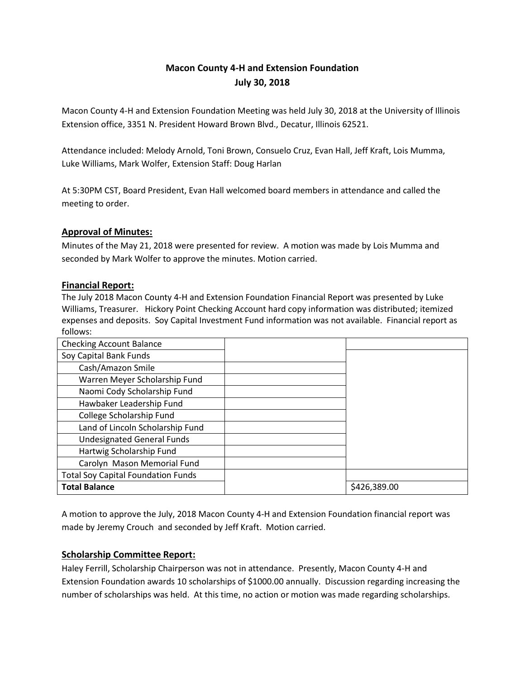# **Macon County 4-H and Extension Foundation July 30, 2018**

Macon County 4-H and Extension Foundation Meeting was held July 30, 2018 at the University of Illinois Extension office, 3351 N. President Howard Brown Blvd., Decatur, Illinois 62521.

Attendance included: Melody Arnold, Toni Brown, Consuelo Cruz, Evan Hall, Jeff Kraft, Lois Mumma, Luke Williams, Mark Wolfer, Extension Staff: Doug Harlan

At 5:30PM CST, Board President, Evan Hall welcomed board members in attendance and called the meeting to order.

# **Approval of Minutes:**

Minutes of the May 21, 2018 were presented for review. A motion was made by Lois Mumma and seconded by Mark Wolfer to approve the minutes. Motion carried.

# **Financial Report:**

The July 2018 Macon County 4-H and Extension Foundation Financial Report was presented by Luke Williams, Treasurer. Hickory Point Checking Account hard copy information was distributed; itemized expenses and deposits. Soy Capital Investment Fund information was not available. Financial report as follows:

| <b>Checking Account Balance</b>           |              |
|-------------------------------------------|--------------|
| Soy Capital Bank Funds                    |              |
| Cash/Amazon Smile                         |              |
| Warren Meyer Scholarship Fund             |              |
| Naomi Cody Scholarship Fund               |              |
| Hawbaker Leadership Fund                  |              |
| College Scholarship Fund                  |              |
| Land of Lincoln Scholarship Fund          |              |
| <b>Undesignated General Funds</b>         |              |
| Hartwig Scholarship Fund                  |              |
| Carolyn Mason Memorial Fund               |              |
| <b>Total Soy Capital Foundation Funds</b> |              |
| <b>Total Balance</b>                      | \$426,389.00 |

A motion to approve the July, 2018 Macon County 4-H and Extension Foundation financial report was made by Jeremy Crouch and seconded by Jeff Kraft. Motion carried.

# **Scholarship Committee Report:**

Haley Ferrill, Scholarship Chairperson was not in attendance. Presently, Macon County 4-H and Extension Foundation awards 10 scholarships of \$1000.00 annually. Discussion regarding increasing the number of scholarships was held. At this time, no action or motion was made regarding scholarships.